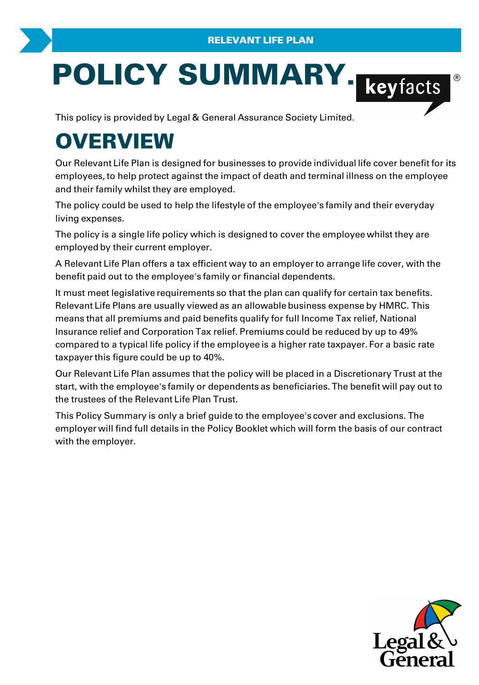# **POLICY SUMMARY.**<br>
This policy is provided by Legal & General Assurance Society Limited.

# **OVERVIEW**

Our Relevant Life Plan is designed for businesses to provide individual life cover benefit for its employees, to help protect against the impact of death and terminal illness on the employee and their family whilst they are employed.

The policy could be used to help the lifestyle of the employee's family and their everyday living expenses. Employees, to neip protect against the impact of death and terminal imess on the employee<br>and their family whilst they are employed.<br>The policy could be used to help the lifestyle of the employee's family and their everyda

employed by their current employer. The policy is a single life policy which is designed to cover the employee whilst they are<br>employed by their current employer.<br>A Relevant Life Plan offers a tax efficient way to an employer to arrange life cover, with the

benefit paid out to the employee's family or financial dependents.

It must meet legislative requirements so that the plan can qualify for certain tax benefits. Relevant Life Plans are usually viewed as an allowable business expense by HMRC. This means that all premiums and paid benefits qualify for full Income Tax relief, National Insurance relief and Corporation Tax relief. Premiums could be reduced by up to 49% It must meet legislative requirements so that the plan can qualify for certain tax benefits.<br>Relevant Life Plans are usually viewed as an allowable business expense by HMRC. This<br>means that all premiums and paid benefits q taxpayer this figure could be up to 40%. compared to a typical life policy if the employee is a higher rate taxpayer. For a basic rate<br>taxpayer this figure could be up to 40%.<br>Our Relevant Life Plan assumes that the policy will be placed in a Discretionary Trust

start, with the employee's family or dependents as beneficiaries. The benefit will pay out to the trustees of the Relevant Life Plan Trust. dapayer and signite coald be up to 40%.<br>Our Relevant Life Plan assumes that the policy will be placed in a Discretionary Trust at the<br>start, with the employee's family or dependents as beneficiaries. The benefit will pay o

with the employer.

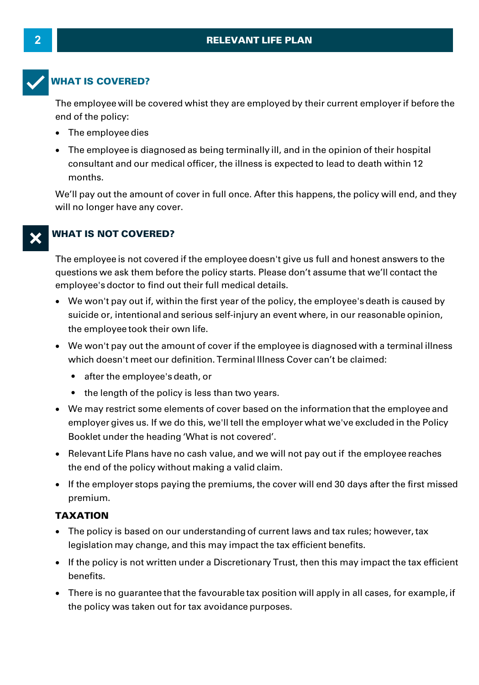# **2 RELEVANT LIFE PLAN**



# **WHAT IS COVERED?**

The employee will be covered whist they are employed by their current employer if before the end of the policy:

- · The employee dies
- · The employee is diagnosed as being terminally ill, and in the opinion of their hospital consultant and our medical officer, the illness is expected to lead to death within 12 months.

We'll pay out the amount of cover in full once. After this happens, the policy will end, and they will no longer have any cover.

# **WHAT IS NOT COVERED?**

The employee is not covered if the employee doesn't give us full and honest answers to the questions we ask them before the policy starts. Please don't assume that we'll contact the employee's doctor to find out their full medical details.

- · We won't pay out if, within the first year of the policy, the employee's death is caused by suicide or, intentional and serious self-injury an event where, in our reasonable opinion, the employee took their own life. .<br>We won't pay out if, within the first year of the policy, the employee's death is caused by<br>suicide or, intentional and serious self-injury an event where, in our reasonable opinion,<br>the employee took their own life.<br>We
- ·which doesn't meet our definition. Terminal Illness Cover can't be claimed:
	- after the employee's death, or
	- the length of the policy is less than two years.
- · We may restrict some elements of cover based on the information that the employee and employer gives us. If we do this, we'll tell the employer what we've excluded in the Policy Booklet under the heading 'What is not covered'.
- · Relevant Life Plans have no cash value, and we will not pay out if the employee reaches the end of the policy without making a valid claim.
- · If the employer stops paying the premiums, the cover will end 30 days after the first missed premium.

# **TAXATION**

- · The policy is based on our understanding of current laws and tax rules; however, tax legislation may change, and this may impact the tax efficient benefits.
- ·**XATION**<br>The policy is based on our understanding of current laws and tax rules; however, tax<br>legislation may change, and this may impact the tax efficient benefits.<br>If the policy is not written under a Discretionary Trust benefits.
- · There is no guarantee that the favourable tax position will apply in all cases, for example, if the policy was taken out for tax avoidance purposes.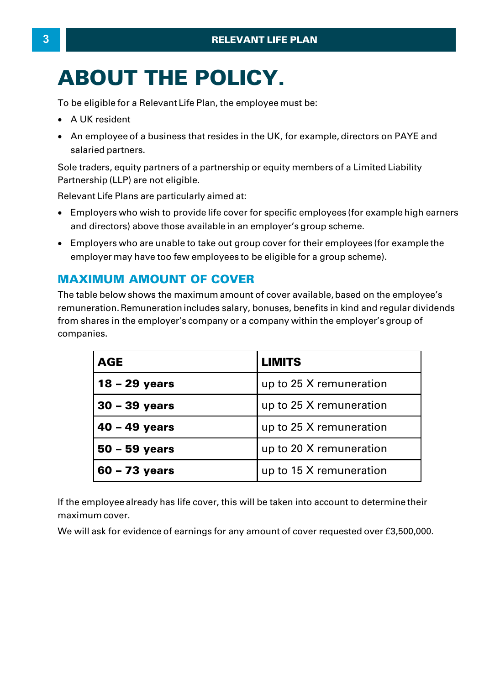# **ABOUT THE POLICY. ABOUT THE POLICY.**<br>To be eligible for a Relevant Life Plan, the employee must be:<br>• A UK resident • An employee of a business that resides in the UK, for example

- 
- AN ENCELL CONSIDERTI AND RESERVED ON A BUSINESS OF A BUSINESS THAT AND RESIDENT AND AN Employee of a business that resides in the UK, for example, directors on PAYE and salaried partners. salaried partners. Model A UK resident<br>
Sole traders, equity partners of a partnership or equity members of a Limited Liability<br>
Sole traders, equity partners of a partnership or equity members of a Limited Liability<br>
Partnership (LLP) are n

Partnership (LLP) are not eligible.

Relevant Life Plans are particularly aimed at:

- · Employers who wish to provide life cover for specific employees (for example high earners and directors) above those available in an employer's group scheme.
- · Employers who are unable to take out group cover for their employees (for example the employer may have too few employees to be eligible for a group scheme).

# **MAXIMUM AMOUNT OF COVER**

The table below shows the maximum amount of cover available, based on the employee's remuneration. Remuneration includes salary, bonuses, benefits in kind and regular dividends **MAXIMUM AMOUNT OF COVER**<br>The table below shows the maximum amount of cover available, based on the employee's<br>remuneration. Remuneration includes salary, bonuses, benefits in kind and regular dividen<br>from shares in the em companies.

| <b>AGE</b>      | <b>LIMITS</b>           |
|-----------------|-------------------------|
| 18 - 29 years   | up to 25 X remuneration |
| $30 - 39$ years | up to 25 X remuneration |
| $40 - 49$ years | up to 25 X remuneration |
| $50 - 59$ years | up to 20 X remuneration |
| $60 - 73$ years | up to 15 X remuneration |

If the employee already has life cover, this will be taken into account to determine their maximum cover.

We will ask for evidence of earnings for any amount of cover requested over £3,500,000.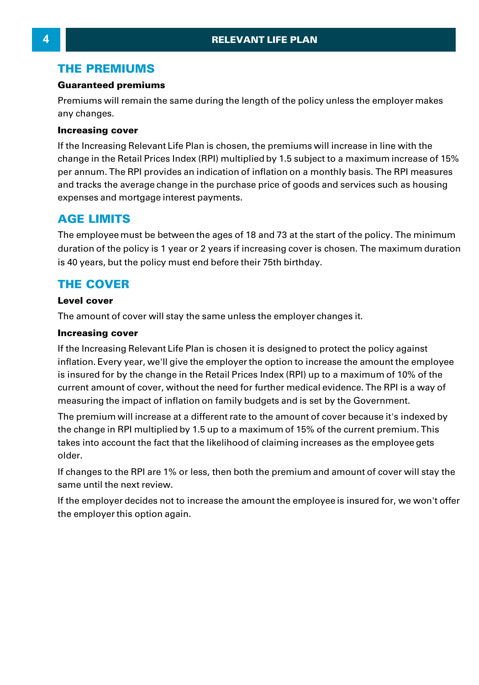# **THE PREMIUMS**

# **Guaranteed premiums**

Premiums will remain the same during the length of the policy unless the employer makes any changes.

# **Increasing cover**

If the Increasing Relevant Life Plan is chosen, the premiums will increase in line with the remains will changes.<br>any changes.<br>**Increasing cover**<br>If the Increasing Relevant Life Plan is chosen, the premiums will increase in line with the<br>change in the Retail Prices Index (RPI) multiplied by 1.5 subject to a maxim **Increasing cover**<br>If the Increasing Relevant Life Plan is chosen, the premiums will increase in line with the<br>change in the Retail Prices Index (RPI) multiplied by 1.5 subject to a maximum increase of 15%<br>per annum. The R and tracks the average change in the purchase price of goods and services such as housing expenses and mortgage interest payments.

# **AGE LIMITS**

The employee must be between the ages of 18 and 73 at the start of the policy. The minimum expenses and mortgage interest payments.<br> **AGE LIMITS**<br>
The employee must be between the ages of 18 and 73 at the start of the policy. The minimum<br>
duration of the policy is 1 year or 2 years if increasing cover is chosen. is 40 years, but the policy must end before their 75th birthday.

# **THE COVER**

# **Level cover**

The amount of cover will stay the same unless the employer changes it.

# **Increasing cover**

If the Increasing Relevant Life Plan is chosen it is designed to protect the policy against inflation. Every year, we'll give the employer the option to increase the amount the employee Increasing cover<br>If the Increasing Relevant Life Plan is chosen it is designed to protect the policy against<br>inflation. Every year, we'll give the employer the option to increase the amount the employee<br>is insured for by t **Increasing cover**<br>If the Increasing Relevant Life Plan is chosen it is designed to protect the policy against<br>inflation. Every year, we'll give the employer the option to increase the amount the employee<br>is insured for by measuring the impact of inflation on family budgets and is set by the Government. inflation. Every year, we'll give the employer the option to increase the amount the employee<br>is insured for by the change in the Retail Prices Index (RPI) up to a maximum of 10% of the<br>current amount of cover, without the

is insured for by the change in the Retail Prices Index (RPI) up to a maximum of 10% of the<br>current amount of cover, without the need for further medical evidence. The RPI is a way of<br>measuring the impact of inflation on f takes into account the fact that the likelihood of claiming increases as the employee gets older.

If changes to the RPI are 1% or less, then both the premium and amount of cover will stay the same until the next review.

If the employer decides not to increase the amount the employee is insured for, we won't offer the employer this option again.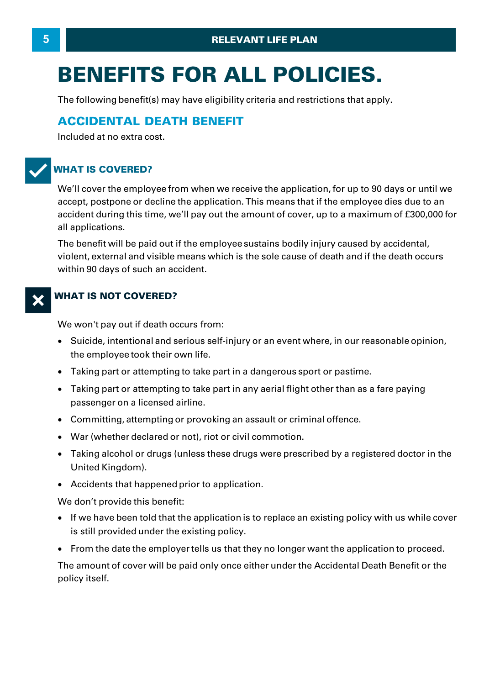# **BENEFITS FOR ALL POLICIES.**

The following benefit(s) may have eligibility criteria and restrictions that apply.

# **ACCIDENTAL DEATH BENEFIT**

Included at no extra cost.

# T**WHAT IS COVERED?**

We'll cover the employee from when we receive the application, for up to 90 days or until we accept, postpone or decline the application. This means that if the employee dies due to an **VHAT IS COVERED?**<br>We'll cover the employee from when we receive the application, for up to 90 days or until we<br>accept, postpone or decline the application. This means that if the employee dies due to an<br>accident during th all applications.

The benefit will be paid out if the employee sustains bodily injury caused by accidental, violent, external and visible means which is the sole cause of death and if the death occurs within 90 days of such an accident.

# **WHAT IS NOT COVERED?**

We won't pay out if death occurs from:

- · Suicide, intentional and serious self-injury or an event where, in our reasonable opinion, the employee took their own life. We won't pay out if death occurs from:<br>• Suicide, intentional and serious self-injury or an event where, in our reason<br>the employee took their own life.<br>• Taking part or attempting to take part in a dangerous sport or past Suicide, intentional and serious self-injury or an event where, in our reasonable opinion,<br>the employee took their own life.<br>Taking part or attempting to take part in a dangerous sport or pastime.<br>Taking part or attempting
- Taking part or attempting to take part in a dangerous sport or pastime.
- the employee took their own life.<br>• Taking part or attempting to take pa<br>• Taking part or attempting to take pa<br>• passenger on a licensed airline.<br>• Committine. attempting or provokin
- Committing, attempting or provoking an assault or criminal offence.
- · War (whether declared or not), riot or civil commotion.
- ·passenger on a licensed airline.<br>Committing, attempting or provoking an assault or criminal offence.<br>War (whether declared or not), riot or civil commotion.<br>Taking alcohol or drugs (unless these drugs were prescribed by a United Kingdom).
- · Accidents that happened prior to application.

We don't provide this benefit:

- $\bullet$   $\;$  If we have been told that the application is to replace an existing policy with us while cover is still provided under the existing policy.
- · From the date the employer tells us that they no longer want the application to proceed.

The amount of cover will be paid only once either under the Accidental Death Benefit or the policy itself.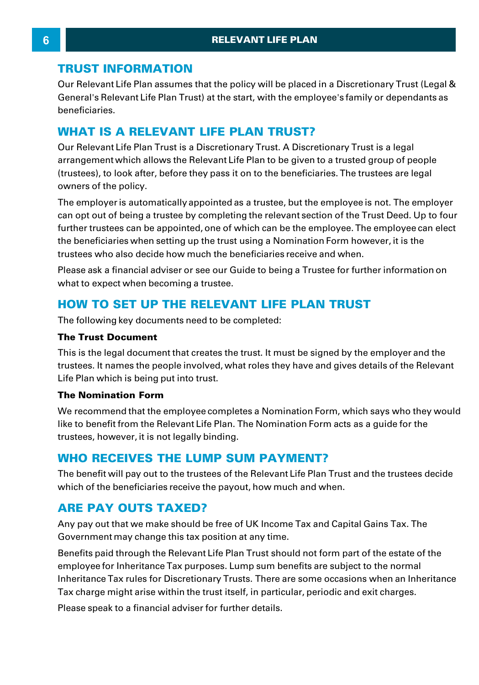# **TRUST INFORMATION**

Our Relevant Life Plan assumes that the policy will be placed in a Discretionary Trust (Legal & General's Relevant Life Plan Trust) at the start, with the employee's family or dependants as beneficiaries. **TRUST INFORMATION**<br>Our Relevant Life Plan assumes that the policy will be placed in a Dis<br>General's Relevant Life Plan Trust) at the start, with the employee's t<br>beneficiaries.<br>WHAT IS A RELEVANT LIFE PLAN TRUST?<br>Our Rele General's Relevant Life Plan Trust) at the start, with the employee's family or dependants<br>beneficiaries.<br>**WHAT IS A RELEVANT LIFE PLAN TRUST?**<br>Our Relevant Life Plan Trust is a Discretionary Trust. A Discretionary Trust i

beneficiaries.<br>WHAT IS A RELEVANT LIFE PLAN TRUST?<br>Our Relevant Life Plan Trust is a Discretionary Trust. A Discretionary Trust is a legal<br>arrangement which allows the Relevant Life Plan to be given to a trusted group of p (trustees), to look after, before they pass it on to the beneficiaries. The trustees are legal owners of the policy. Our Relevant Life Plan Trust is a Discretionary Trust. A Discretionary Trust is a legal<br>arrangement which allows the Relevant Life Plan to be given to a trusted group of people<br>(trustees), to look after, before they pass i

arrangement which allows the Relevant Lite Plan to be given to a trusted group of people<br>(trustees), to look after, before they pass it on to the beneficiaries. The trustees are legal<br>owners of the policy.<br>The employer is further trustees can be appointed, one of which can be the employee. The employee can elect owners of the policy.<br>The employer is automatically appointed as a trustee, but the employee is not. The employ<br>can opt out of being a trustee by completing the relevant section of the Trust Deed. Up to fo<br>further trustees trustees who also decide how much the beneficiaries receive and when. can opt out of being a trustee by completing the relevant section of the Trust Deed. Up to four<br>further trustees can be appointed, one of which can be the employee. The employee can elect<br>the beneficiaries when setting up the beneficiaries when setting up the trust using a Nomination Form however, it is the trustees who also decide how much the beneficiaries receive and when.<br>Please ask a financial adviser or see our Guide to being a Truste

# **HOW TO SET UP THE RELEVANT LIFE PLAN TRUST**

The following key documents need to be completed:

# **The Trust Document**

This is the legal document that creates the trust. It must be signed by the employer and the trustees. It names the people involved, what roles they have and gives details of the Relevant Life Plan which is being put into trust. This is and regal document and creates the thust. It must be signed by the employer and the trustees. It names the people involved, what roles they have and gives details of the Relevant Life Plan which is being put into t

## **The Nomination Form**

life Plan which is being put into trust.<br>Life Plan which is being put into trust.<br>The Nomination Form<br>We recommend that the employee completes a Nomination Form, which says who they wor<br>like to benefit from the Relevant Li trustees, however, it is not legally binding.

# **WHO RECEIVES THE LUMP SUM PAYMENT?**

The benefit will pay out to the trustees of the Relevant Life Plan Trust and the trustees decide which of the beneficiaries receive the payout, how much and when.

# **ARE PAY OUTS TAXED?**

Any pay out that we make should be free of UK Income Tax and Capital Gains Tax. The Government may change this tax position at any time.

Benefits paid through the Relevant Life Plan Trust should not form part of the estate of the employee for Inheritance Tax purposes. Lump sum benefits are subject to the normal Inheritance Tax rules for Discretionary Trusts. There are some occasions when an Inheritance Tax charge might arise within the trust itself, in particular, periodic and exit charges. Benefits paid through the Relevant Life Plan Trust shoemployee for Inheritance Tax purposes. Lump sum be<br>Inheritance Tax rules for Discretionary Trusts. There a<br>Tax charge might arise within the trust itself, in partic<br>Ple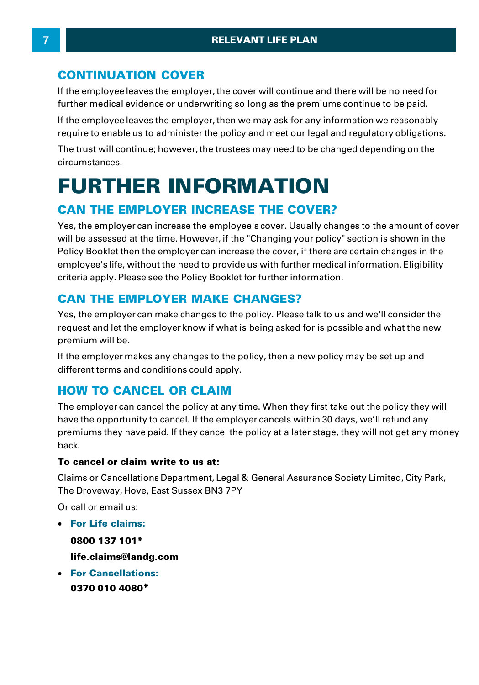# **CONTINUATION COVER**

If the employee leaves the employer, the cover will continue and there will be no need for further medical evidence or underwriting so long as the premiums continue to be paid.

If the employee leaves the employer, then we may ask for any information we reasonably require to enable us to administer the policy and meet our legal and regulatory obligations.

The trust will continue; however, the trustees may need to be changed depending on the circumstances.

# **FURTHER INFORMATION**

# **CAN THE EMPLOYER INCREASE THE COVER?**

Yes, the employer can increase the employee's cover. Usually changes to the amount of cover will be assessed at the time. However, if the "Changing your policy" section is shown in the Policy Booklet then the employer can increase the cover, if there are certain changes in the employee's life, without the need to provide us with further medical information. Eligibility criteria apply. Please see the Policy Booklet for further information.

# **CAN THE EMPLOYER MAKE CHANGES?**

Yes, the employer can make changes to the policy. Please talk to us and we'll consider the request and let the employer know if what is being asked for is possible and what the new premium will be. Yes, the employer can make changes to the policy. Please talk to us and we'll consider the request and let the employer know if what is being asked for is possible and what the new premium will be.<br>If the employer makes an

different terms and conditions could apply.

# **HOW TO CANCEL OR CLAIM**

The employer can cancel the policy at any time. When they first take out the policy they will have the opportunity to cancel. If the employer cancels within 30 days, we'll refund any premiums they have paid. If they cancel the policy at a later stage, they will not get any money back.

# **To cancel or claim write to us at:**

Claims or Cancellations Department, Legal & General Assurance Society Limited, City Park, The Droveway, Hove, East Sussex BN3 7PY

Or call or email us:

· **For Life claims:**

**0800 137 101\***

- **life.claims@landg.com**
- · **For Cancellations: 0370 010 4080 \***